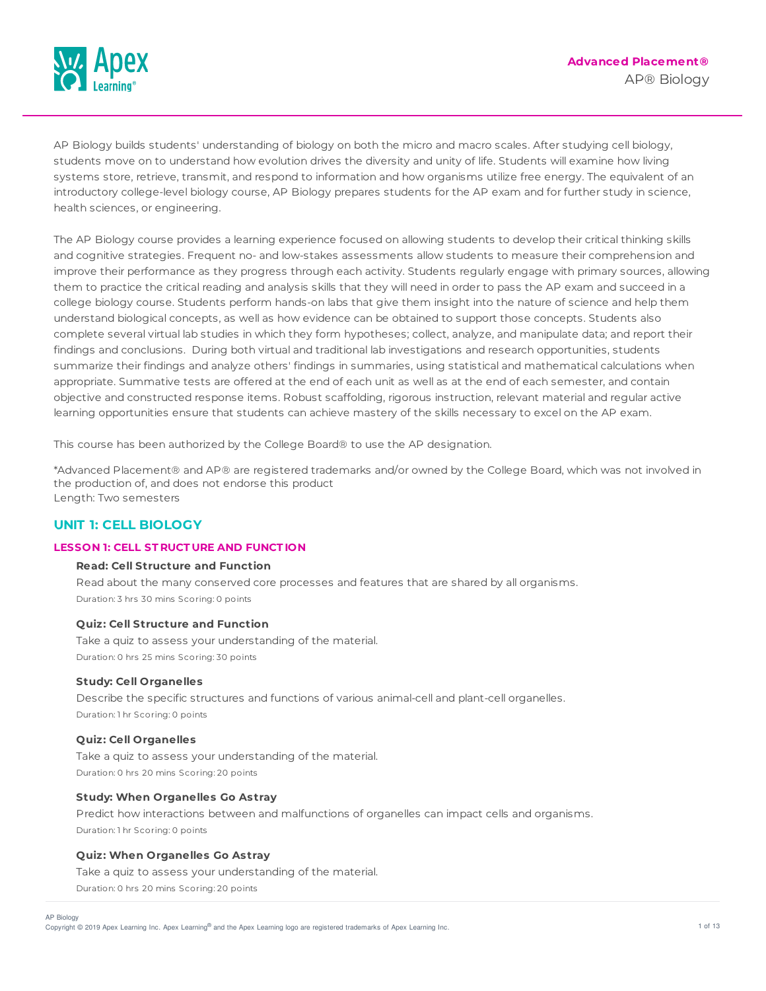

AP Biology builds students' understanding of biology on both the micro and macro scales. After studying cell biology, students move on to understand how evolution drives the diversity and unity of life. Students will examine how living systems store, retrieve, transmit, and respond to information and how organisms utilize free energy. The equivalent of an introductory college-level biology course, AP Biology prepares students for the AP exam and for further study in science, health sciences, or engineering.

The AP Biology course provides a learning experience focused on allowing students to develop their critical thinking skills and cognitive strategies. Frequent no- and low-stakes assessments allow students to measure their comprehension and improve their performance as they progress through each activity. Students regularly engage with primary sources, allowing them to practice the critical reading and analysis skills that they will need in order to pass the AP exam and succeed in a college biology course. Students perform hands-on labs that give them insight into the nature of science and help them understand biological concepts, as well as how evidence can be obtained to support those concepts. Students also complete several virtual lab studies in which they form hypotheses; collect, analyze, and manipulate data; and report their findings and conclusions. During both virtual and traditional lab investigations and research opportunities, students summarize their findings and analyze others' findings in summaries, using statistical and mathematical calculations when appropriate. Summative tests are offered at the end of each unit as well as at the end of each semester, and contain objective and constructed response items. Robust scaffolding, rigorous instruction, relevant material and regular active learning opportunities ensure that students can achieve mastery of the skills necessary to excel on the AP exam.

This course has been authorized by the College Board® to use the AP designation.

\*Advanced Placement® and AP® are registered trademarks and/or owned by the College Board, which was not involved in the production of, and does not endorse this product Length: Two semesters

## **UNIT 1: CELL BIOLOGY**

## **LESSON 1: CELL ST RUCT URE AND FUNCT ION**

## **Read: Cell Structure and Function**

Read about the many conserved core processes and features that are shared by all organisms. Duration: 3 hrs 30 mins Scoring: 0 points

#### **Quiz: Cell Structure and Function**

Take a quiz to assess your understanding of the material. Duration: 0 hrs 25 mins Scoring: 30 points

## **Study: Cell Organelles**

Describe the specific structures and functions of various animal-cell and plant-cell organelles. Duration: 1 hr Scoring: 0 points

#### **Quiz: Cell Organelles**

Take a quiz to assess your understanding of the material. Duration: 0 hrs 20 mins Scoring: 20 points

## **Study: When Organelles Go Astray**

Predict how interactions between and malfunctions of organelles can impact cells and organisms. Duration: 1 hr Scoring: 0 points

## **Quiz: When Organelles Go Astray**

Take a quiz to assess your understanding of the material. Duration: 0 hrs 20 mins Scoring: 20 points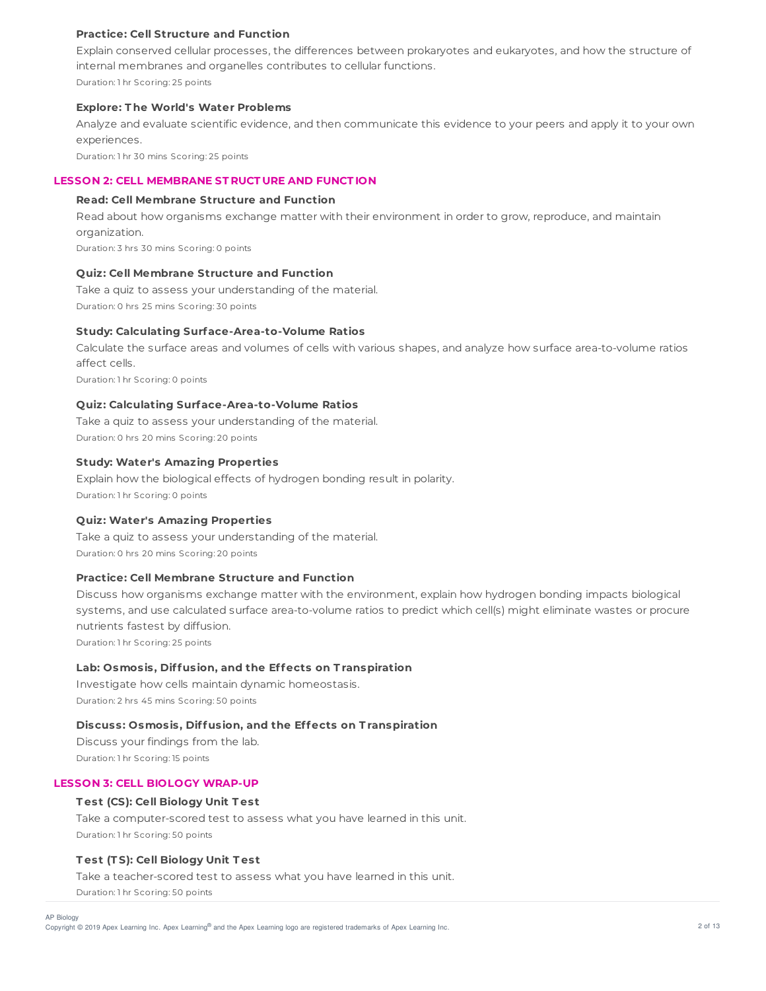## **Practice: Cell Structure and Function**

Explain conserved cellular processes, the differences between prokaryotes and eukaryotes, and how the structure of internal membranes and organelles contributes to cellular functions. Duration: 1 hr Scoring: 25 points

#### **Explore: T he World's Water Problems**

Analyze and evaluate scientific evidence, and then communicate this evidence to your peers and apply it to your own experiences.

Duration: 1 hr 30 mins Scoring: 25 points

## **LESSON 2: CELL MEMBRANE ST RUCT URE AND FUNCT ION**

## **Read: Cell Membrane Structure and Function**

Read about how organisms exchange matter with their environment in order to grow, reproduce, and maintain organization.

Duration: 3 hrs 30 mins Scoring: 0 points

## **Quiz: Cell Membrane Structure and Function**

Take a quiz to assess your understanding of the material. Duration: 0 hrs 25 mins Scoring: 30 points

## **Study: Calculating Surface-Area-to-Volume Ratios**

Calculate the surface areas and volumes of cells with various shapes, and analyze how surface area-to-volume ratios affect cells.

Duration: 1 hr Scoring: 0 points

## **Quiz: Calculating Surface-Area-to-Volume Ratios**

Take a quiz to assess your understanding of the material. Duration: 0 hrs 20 mins Scoring: 20 points

## **Study: Water's Amazing Properties**

Explain how the biological effects of hydrogen bonding result in polarity. Duration: 1 hr Scoring: 0 points

#### **Quiz: Water's Amazing Properties**

Take a quiz to assess your understanding of the material. Duration: 0 hrs 20 mins Scoring: 20 points

## **Practice: Cell Membrane Structure and Function**

Discuss how organisms exchange matter with the environment, explain how hydrogen bonding impacts biological systems, and use calculated surface area-to-volume ratios to predict which cell(s) might eliminate wastes or procure nutrients fastest by diffusion.

Duration: 1 hr Scoring: 25 points

## **Lab: Osmosis, Diffusion, and the Effects on T ranspiration**

Investigate how cells maintain dynamic homeostasis. Duration: 2 hrs 45 mins Scoring: 50 points

#### **Discuss: Osmosis, Diffusion, and the Effects on T ranspiration**

Discuss your findings from the lab. Duration: 1 hr Scoring: 15 points

# **LESSON 3: CELL BIOLOGY WRAP-UP**

## **T est (CS): Cell Biology Unit T est**

Take a computer-scored test to assess what you have learned in this unit. Duration: 1 hr Scoring: 50 points

### **T est (T S): Cell Biology Unit T est**

Take a teacher-scored test to assess what you have learned in this unit. Duration: 1 hr Scoring: 50 points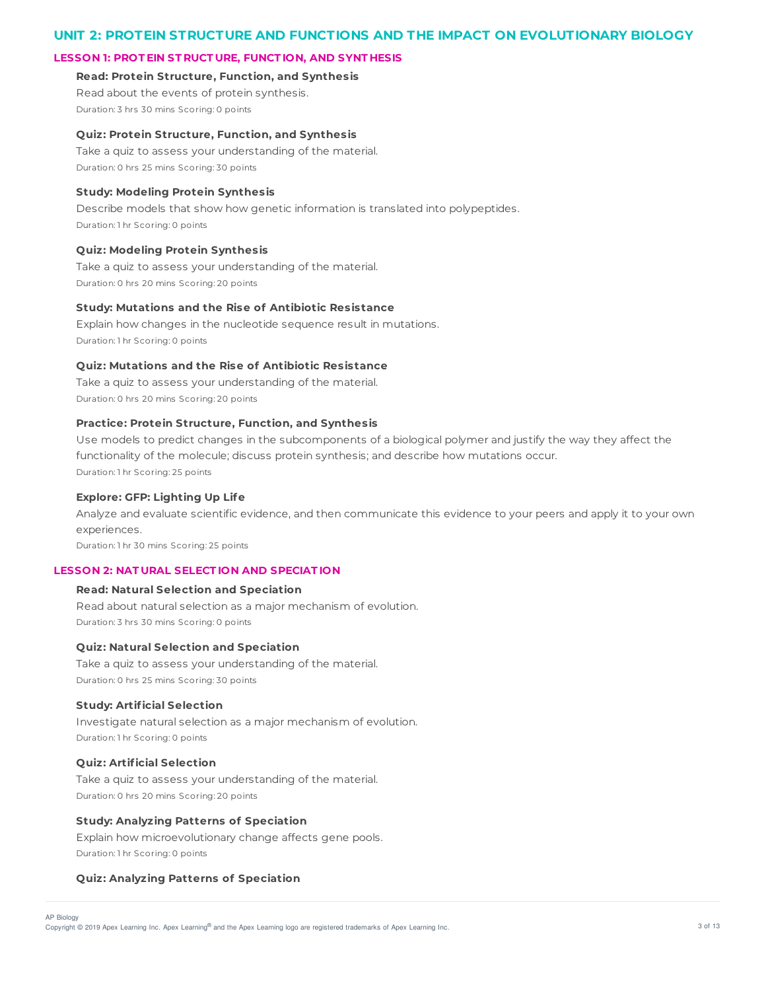## **UNIT 2: PROTEIN STRUCTURE AND FUNCTIONS AND THE IMPACT ON EVOLUTIONARY BIOLOGY**

## **LESSON 1: PROT EIN ST RUCT URE, FUNCT ION, AND SYNT HESIS**

**Read: Protein Structure, Function, and Synthesis** Read about the events of protein synthesis.

Duration: 3 hrs 30 mins Scoring: 0 points

#### **Quiz: Protein Structure, Function, and Synthesis**

Take a quiz to assess your understanding of the material. Duration: 0 hrs 25 mins Scoring: 30 points

### **Study: Modeling Protein Synthesis**

Describe models that show how genetic information is translated into polypeptides. Duration: 1 hr Scoring: 0 points

#### **Quiz: Modeling Protein Synthesis**

Take a quiz to assess your understanding of the material. Duration: 0 hrs 20 mins Scoring: 20 points

#### **Study: Mutations and the Rise of Antibiotic Resistance**

Explain how changes in the nucleotide sequence result in mutations. Duration: 1 hr Scoring: 0 points

#### **Quiz: Mutations and the Rise of Antibiotic Resistance**

Take a quiz to assess your understanding of the material. Duration: 0 hrs 20 mins Scoring: 20 points

## **Practice: Protein Structure, Function, and Synthesis**

Use models to predict changes in the subcomponents of a biological polymer and justify the way they affect the functionality of the molecule; discuss protein synthesis; and describe how mutations occur. Duration: 1 hr Scoring: 25 points

#### **Explore: GFP: Lighting Up Life**

Analyze and evaluate scientific evidence, and then communicate this evidence to your peers and apply it to your own experiences.

Duration: 1 hr 30 mins Scoring: 25 points

## **LESSON 2: NAT URAL SELECT ION AND SPECIAT ION**

#### **Read: Natural Selection and Speciation**

Read about natural selection as a major mechanism of evolution. Duration: 3 hrs 30 mins Scoring: 0 points

#### **Quiz: Natural Selection and Speciation**

Take a quiz to assess your understanding of the material. Duration: 0 hrs 25 mins Scoring: 30 points

### **Study: Artificial Selection**

Investigate natural selection as a major mechanism of evolution. Duration: 1 hr Scoring: 0 points

### **Quiz: Artificial Selection**

Take a quiz to assess your understanding of the material. Duration: 0 hrs 20 mins Scoring: 20 points

#### **Study: Analyzing Patterns of Speciation**

Explain how microevolutionary change affects gene pools. Duration: 1 hr Scoring: 0 points

#### **Quiz: Analyzing Patterns of Speciation**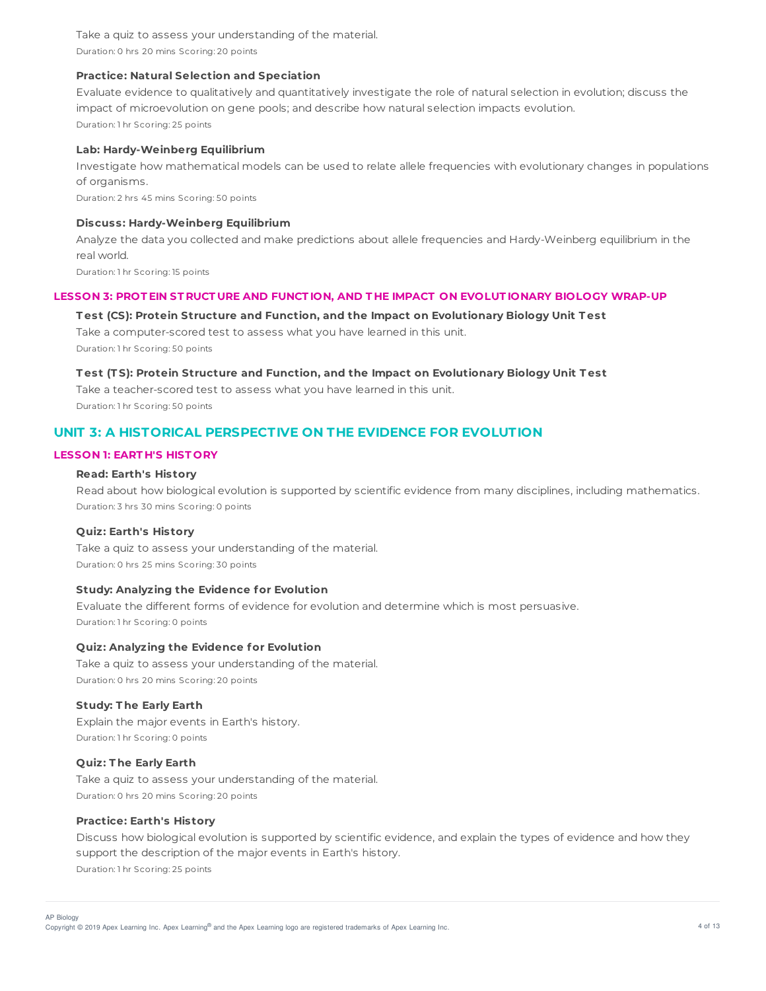Take a quiz to assess your understanding of the material. Duration: 0 hrs 20 mins Scoring: 20 points

### **Practice: Natural Selection and Speciation**

Evaluate evidence to qualitatively and quantitatively investigate the role of natural selection in evolution; discuss the impact of microevolution on gene pools; and describe how natural selection impacts evolution. Duration: 1 hr Scoring: 25 points

#### **Lab: Hardy-Weinberg Equilibrium**

Investigate how mathematical models can be used to relate allele frequencies with evolutionary changes in populations of organisms.

Duration: 2 hrs 45 mins Scoring: 50 points

## **Discuss: Hardy-Weinberg Equilibrium**

Analyze the data you collected and make predictions about allele frequencies and Hardy-Weinberg equilibrium in the real world.

Duration: 1 hr Scoring: 15 points

#### LESSON 3: PROTEIN STRUCTURE AND FUNCTION, AND THE IMPACT ON EVOLUTIONARY BIOLOGY WRAP-UP

#### **T est (CS): Protein Structure and Function, and the Impact on Evolutionary Biology Unit T est**

Take a computer-scored test to assess what you have learned in this unit. Duration: 1 hr Scoring: 50 points

#### **T est (T S): Protein Structure and Function, and the Impact on Evolutionary Biology Unit T est**

Take a teacher-scored test to assess what you have learned in this unit. Duration: 1 hr Scoring: 50 points

## **UNIT 3: A HISTORICAL PERSPECTIVE ON THE EVIDENCE FOR EVOLUTION**

### **LESSON 1: EART H'S HIST ORY**

## **Read: Earth's History**

Read about how biological evolution is supported by scientific evidence from many disciplines, including mathematics. Duration: 3 hrs 30 mins Scoring: 0 points

#### **Quiz: Earth's History**

Take a quiz to assess your understanding of the material. Duration: 0 hrs 25 mins Scoring: 30 points

## **Study: Analyzing the Evidence for Evolution**

Evaluate the different forms of evidence for evolution and determine which is most persuasive. Duration: 1 hr Scoring: 0 points

## **Quiz: Analyzing the Evidence for Evolution**

Take a quiz to assess your understanding of the material. Duration: 0 hrs 20 mins Scoring: 20 points

## **Study: T he Early Earth**

Explain the major events in Earth's history. Duration: 1 hr Scoring: 0 points

#### **Quiz: T he Early Earth**

Take a quiz to assess your understanding of the material. Duration: 0 hrs 20 mins Scoring: 20 points

#### **Practice: Earth's History**

Discuss how biological evolution is supported by scientific evidence, and explain the types of evidence and how they support the description of the major events in Earth's history. Duration: 1 hr Scoring: 25 points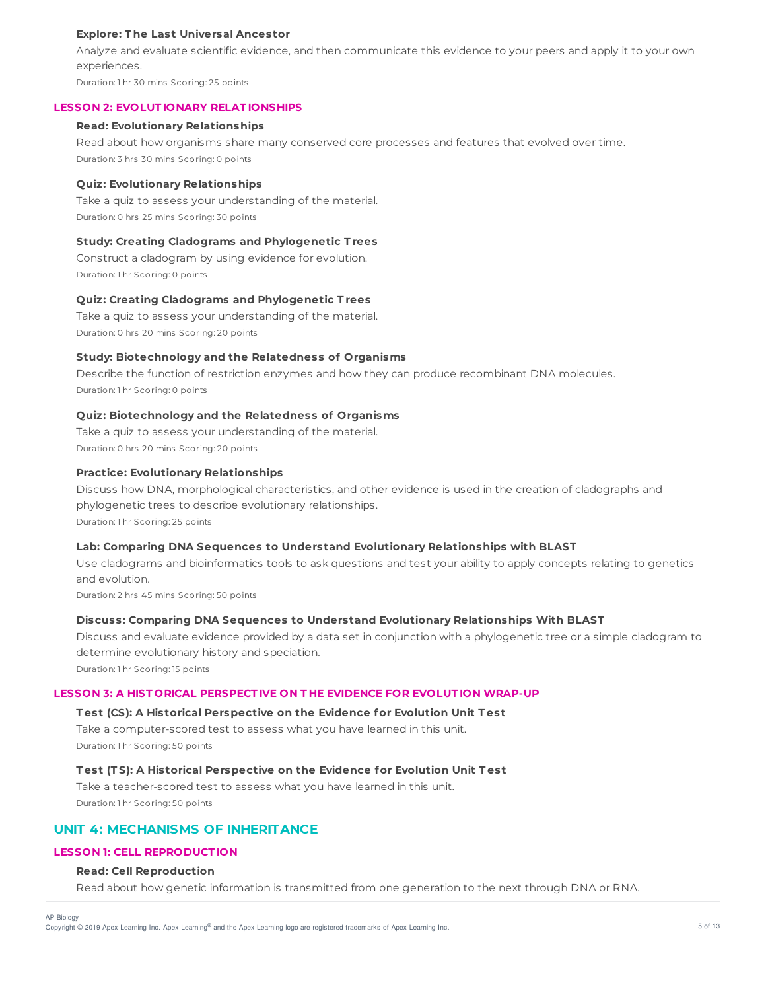### **Explore: T he Last Universal Ancestor**

Analyze and evaluate scientific evidence, and then communicate this evidence to your peers and apply it to your own experiences.

Duration: 1 hr 30 mins Scoring: 25 points

#### **LESSON 2: EVOLUT IONARY RELAT IONSHIPS**

#### **Read: Evolutionary Relationships**

Read about how organisms share many conserved core processes and features that evolved over time. Duration: 3 hrs 30 mins Scoring: 0 points

#### **Quiz: Evolutionary Relationships**

Take a quiz to assess your understanding of the material. Duration: 0 hrs 25 mins Scoring: 30 points

#### **Study: Creating Cladograms and Phylogenetic T rees**

Construct a cladogram by using evidence for evolution. Duration: 1 hr Scoring: 0 points

#### **Quiz: Creating Cladograms and Phylogenetic T rees**

Take a quiz to assess your understanding of the material. Duration: 0 hrs 20 mins Scoring: 20 points

#### **Study: Biotechnology and the Relatedness of Organisms**

Describe the function of restriction enzymes and how they can produce recombinant DNA molecules. Duration: 1 hr Scoring: 0 points

#### **Quiz: Biotechnology and the Relatedness of Organisms**

Take a quiz to assess your understanding of the material. Duration: 0 hrs 20 mins Scoring: 20 points

### **Practice: Evolutionary Relationships**

Discuss how DNA, morphological characteristics, and other evidence is used in the creation of cladographs and phylogenetic trees to describe evolutionary relationships. Duration: 1 hr Scoring: 25 points

#### **Lab: Comparing DNA Sequences to Understand Evolutionary Relationships with BLAST**

Use cladograms and bioinformatics tools to ask questions and test your ability to apply concepts relating to genetics and evolution.

Duration: 2 hrs 45 mins Scoring: 50 points

#### **Discuss: Comparing DNA Sequences to Understand Evolutionary Relationships With BLAST**

Discuss and evaluate evidence provided by a data set in conjunction with a phylogenetic tree or a simple cladogram to determine evolutionary history and speciation.

Duration: 1 hr Scoring: 15 points

#### **LESSON 3: A HIST ORICAL PERSPECT IVE ON T HE EVIDENCE FOR EVOLUT ION WRAP-UP**

#### **T est (CS): A Historical Perspective on the Evidence for Evolution Unit T est**

Take a computer-scored test to assess what you have learned in this unit. Duration: 1 hr Scoring: 50 points

## **T est (T S): A Historical Perspective on the Evidence for Evolution Unit T est**

Take a teacher-scored test to assess what you have learned in this unit. Duration: 1 hr Scoring: 50 points

## **UNIT 4: MECHANISMS OF INHERITANCE**

## **LESSON 1: CELL REPRODUCT ION**

#### **Read: Cell Reproduction**

Read about how genetic information is transmitted from one generation to the next through DNA or RNA.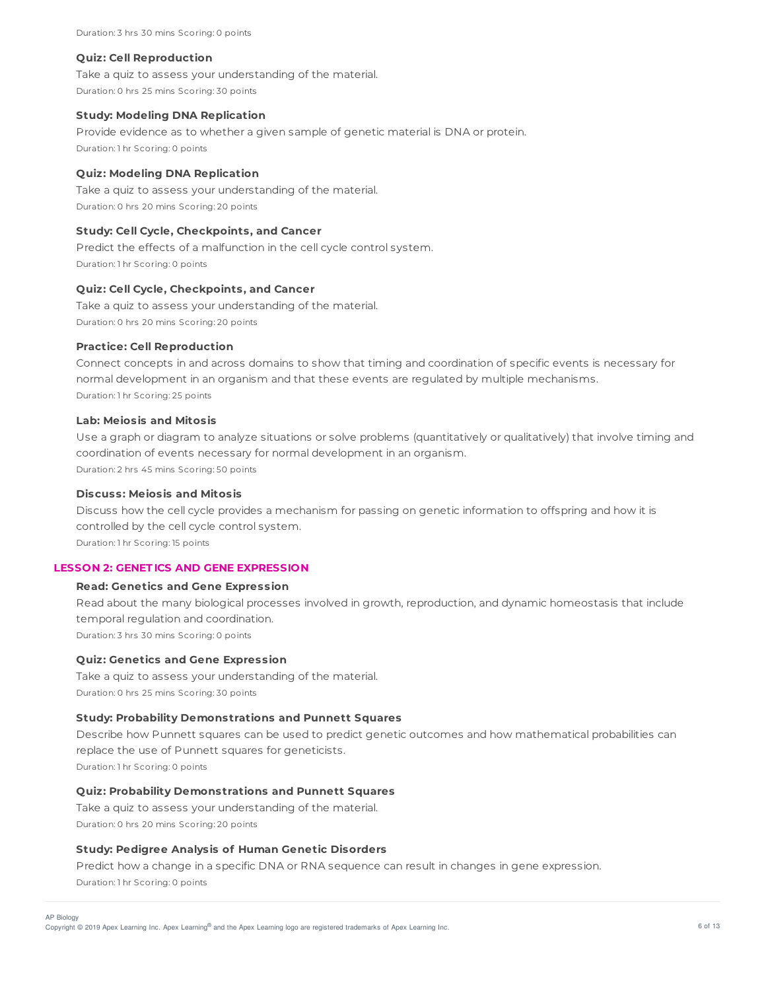Duration: 3 hrs 30 mins Scoring: 0 points

#### **Quiz: Cell Reproduction**

Take a quiz to assess your understanding of the material. Duration: 0 hrs 25 mins Scoring: 30 points

#### **Study: Modeling DNA Replication**

Provide evidence as to whether a given sample of genetic material is DNA or protein. Duration: 1 hr Scoring: 0 points

## **Quiz: Modeling DNA Replication**

Take a quiz to assess your understanding of the material. Duration: 0 hrs 20 mins Scoring: 20 points

#### **Study: Cell Cycle, Checkpoints, and Cancer**

Predict the effects of a malfunction in the cell cycle control system. Duration: 1 hr Scoring: 0 points

## **Quiz: Cell Cycle, Checkpoints, and Cancer**

Take a quiz to assess your understanding of the material. Duration: 0 hrs 20 mins Scoring: 20 points

#### **Practice: Cell Reproduction**

Connect concepts in and across domains to show that timing and coordination of specific events is necessary for normal development in an organism and that these events are regulated by multiple mechanisms. Duration: 1 hr Scoring: 25 points

## **Lab: Meiosis and Mitosis**

Use a graph or diagram to analyze situations or solve problems (quantitatively or qualitatively) that involve timing and coordination of events necessary for normal development in an organism. Duration: 2 hrs 45 mins Scoring: 50 points

## **Discuss: Meiosis and Mitosis**

Discuss how the cell cycle provides a mechanism for passing on genetic information to offspring and how it is controlled by the cell cycle control system. Duration: 1 hr Scoring: 15 points

## **LESSON 2: GENET ICS AND GENE EXPRESSION**

## **Read: Genetics and Gene Expression**

Read about the many biological processes involved in growth, reproduction, and dynamic homeostasis that include temporal regulation and coordination. Duration: 3 hrs 30 mins Scoring: 0 points

## **Quiz: Genetics and Gene Expression**

Take a quiz to assess your understanding of the material. Duration: 0 hrs 25 mins Scoring: 30 points

#### **Study: Probability Demonstrations and Punnett Squares**

Describe how Punnett squares can be used to predict genetic outcomes and how mathematical probabilities can replace the use of Punnett squares for geneticists. Duration: 1 hr Scoring: 0 points

## **Quiz: Probability Demonstrations and Punnett Squares**

Take a quiz to assess your understanding of the material. Duration: 0 hrs 20 mins Scoring: 20 points

#### **Study: Pedigree Analysis of Human Genetic Disorders**

Predict how a change in a specific DNA or RNA sequence can result in changes in gene expression. Duration: 1 hr Scoring: 0 points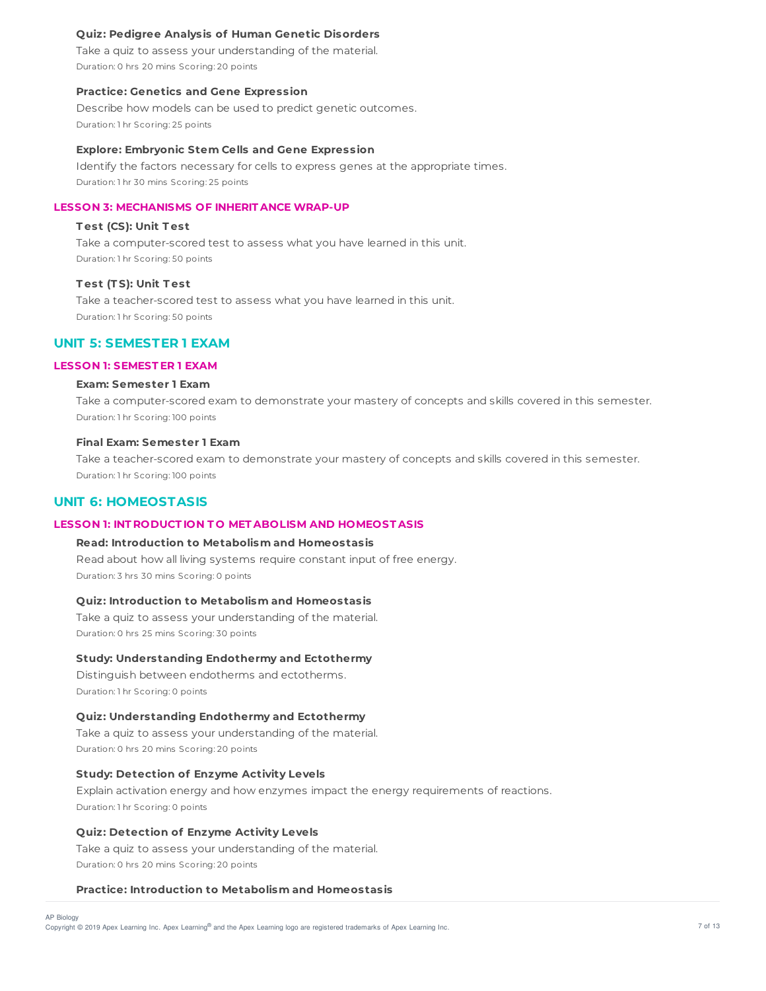### **Quiz: Pedigree Analysis of Human Genetic Disorders**

Take a quiz to assess your understanding of the material. Duration: 0 hrs 20 mins Scoring: 20 points

#### **Practice: Genetics and Gene Expression**

Describe how models can be used to predict genetic outcomes. Duration: 1 hr Scoring: 25 points

#### **Explore: Embryonic Stem Cells and Gene Expression**

Identify the factors necessary for cells to express genes at the appropriate times. Duration: 1 hr 30 mins Scoring: 25 points

## **LESSON 3: MECHANISMS OF INHERIT ANCE WRAP-UP**

## **T est (CS): Unit T est**

Take a computer-scored test to assess what you have learned in this unit. Duration: 1 hr Scoring: 50 points

### **T est (T S): Unit T est**

Take a teacher-scored test to assess what you have learned in this unit. Duration: 1 hr Scoring: 50 points

## **UNIT 5: SEMESTER 1 EXAM**

#### **LESSON 1: SEMEST ER 1 EXAM**

## **Exam: Semester 1 Exam**

Take a computer-scored exam to demonstrate your mastery of concepts and skills covered in this semester. Duration: 1 hr Scoring: 100 points

#### **Final Exam: Semester 1 Exam**

Take a teacher-scored exam to demonstrate your mastery of concepts and skills covered in this semester. Duration: 1 hr Scoring: 100 points

## **UNIT 6: HOMEOSTASIS**

AP Biology

## **LESSON 1: INT RODUCT ION T O MET ABOLISM AND HOMEOST ASIS**

## **Read: Introduction to Metabolism and Homeostasis**

Read about how all living systems require constant input of free energy. Duration: 3 hrs 30 mins Scoring: 0 points

#### **Quiz: Introduction to Metabolism and Homeostasis**

Take a quiz to assess your understanding of the material. Duration: 0 hrs 25 mins Scoring: 30 points

## **Study: Understanding Endothermy and Ectothermy**

Distinguish between endotherms and ectotherms. Duration: 1 hr Scoring: 0 points

## **Quiz: Understanding Endothermy and Ectothermy**

Take a quiz to assess your understanding of the material. Duration: 0 hrs 20 mins Scoring: 20 points

## **Study: Detection of Enzyme Activity Levels**

Explain activation energy and how enzymes impact the energy requirements of reactions. Duration: 1 hr Scoring: 0 points

#### **Quiz: Detection of Enzyme Activity Levels**

Take a quiz to assess your understanding of the material. Duration: 0 hrs 20 mins Scoring: 20 points

## **Practice: Introduction to Metabolism and Homeostasis**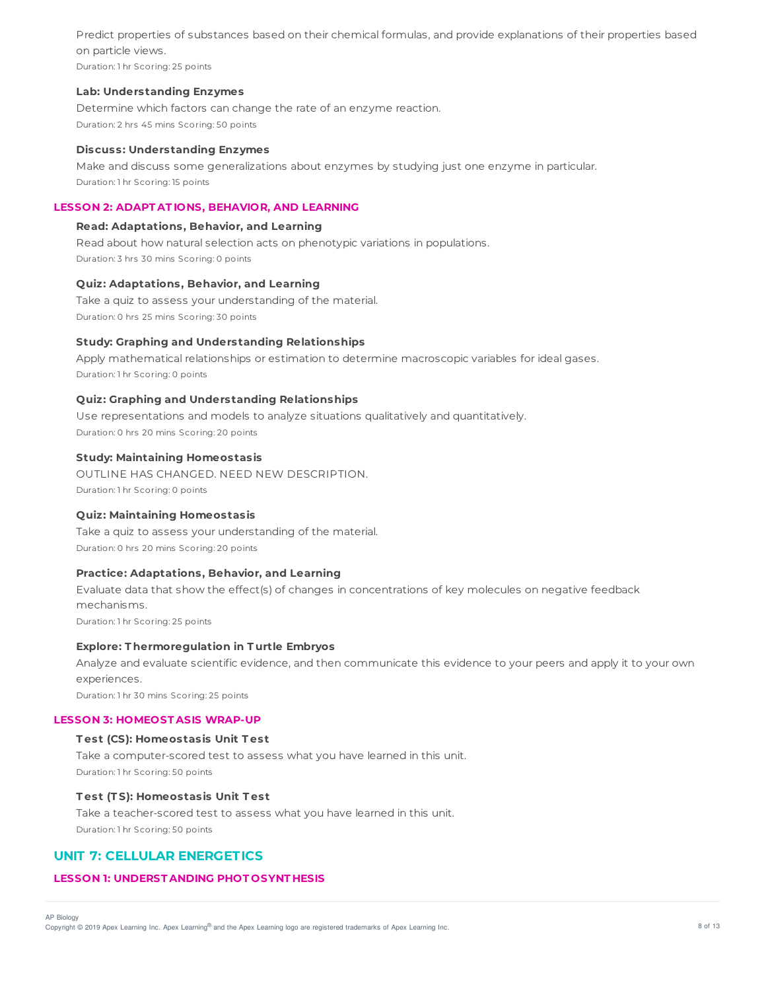Predict properties of substances based on their chemical formulas, and provide explanations of their properties based on particle views.

Duration: 1 hr Scoring: 25 points

### **Lab: Understanding Enzymes**

Determine which factors can change the rate of an enzyme reaction. Duration: 2 hrs 45 mins Scoring: 50 points

### **Discuss: Understanding Enzymes**

Make and discuss some generalizations about enzymes by studying just one enzyme in particular. Duration: 1 hr Scoring: 15 points

## **LESSON 2: ADAPT AT IONS, BEHAVIOR, AND LEARNING**

### **Read: Adaptations, Behavior, and Learning**

Read about how natural selection acts on phenotypic variations in populations. Duration: 3 hrs 30 mins Scoring: 0 points

### **Quiz: Adaptations, Behavior, and Learning**

Take a quiz to assess your understanding of the material. Duration: 0 hrs 25 mins Scoring: 30 points

### **Study: Graphing and Understanding Relationships**

Apply mathematical relationships or estimation to determine macroscopic variables for ideal gases. Duration: 1 hr Scoring: 0 points

### **Quiz: Graphing and Understanding Relationships**

Use representations and models to analyze situations qualitatively and quantitatively. Duration: 0 hrs 20 mins Scoring: 20 points

## **Study: Maintaining Homeostasis**

OUTLINE HAS CHANGED. NEED NEW DESCRIPTION. Duration: 1 hr Scoring: 0 points

## **Quiz: Maintaining Homeostasis**

Take a quiz to assess your understanding of the material. Duration: 0 hrs 20 mins Scoring: 20 points

#### **Practice: Adaptations, Behavior, and Learning**

Evaluate data that show the effect(s) of changes in concentrations of key molecules on negative feedback mechanisms.

Duration: 1 hr Scoring: 25 points

#### **Explore: T hermoregulation in T urtle Embryos**

Analyze and evaluate scientific evidence, and then communicate this evidence to your peers and apply it to your own experiences.

Duration: 1 hr 30 mins Scoring: 25 points

#### **LESSON 3: HOMEOST ASIS WRAP-UP**

#### **T est (CS): Homeostasis Unit T est**

Take a computer-scored test to assess what you have learned in this unit. Duration: 1 hr Scoring: 50 points

## **T est (T S): Homeostasis Unit T est**

Take a teacher-scored test to assess what you have learned in this unit. Duration: 1 hr Scoring: 50 points

## **UNIT 7: CELLULAR ENERGETICS**

## **LESSON 1: UNDERST ANDING PHOT OSYNT HESIS**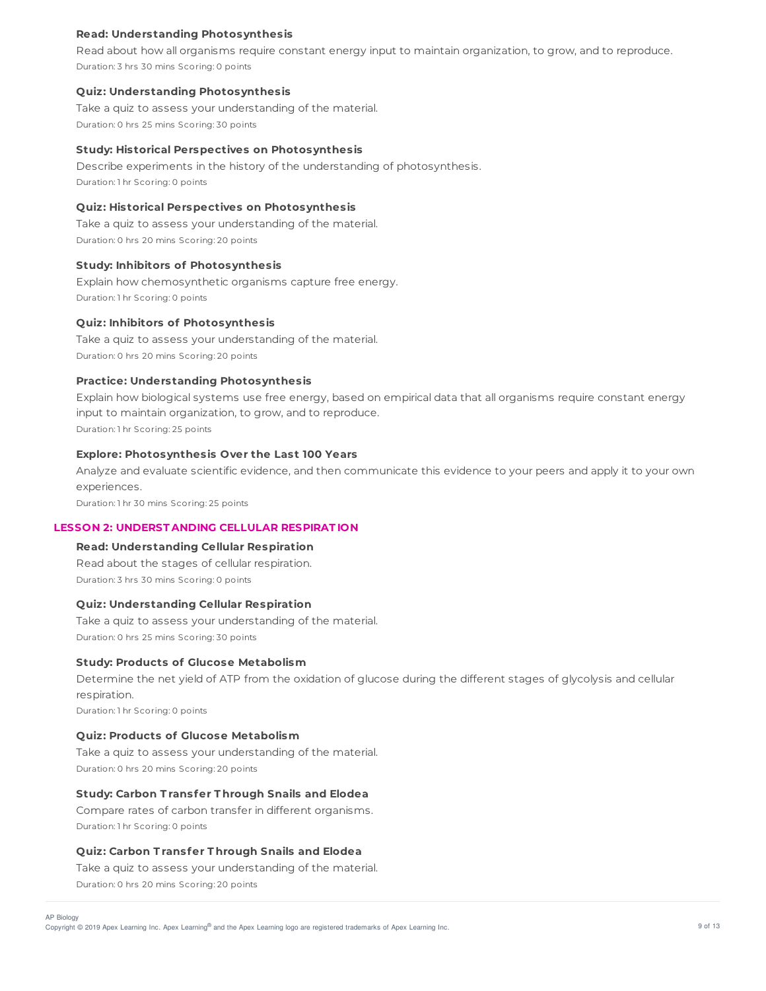### **Read: Understanding Photosynthesis**

Read about how all organisms require constant energy input to maintain organization, to grow, and to reproduce. Duration: 3 hrs 30 mins Scoring: 0 points

#### **Quiz: Understanding Photosynthesis**

Take a quiz to assess your understanding of the material. Duration: 0 hrs 25 mins Scoring: 30 points

#### **Study: Historical Perspectives on Photosynthesis**

Describe experiments in the history of the understanding of photosynthesis. Duration: 1 hr Scoring: 0 points

## **Quiz: Historical Perspectives on Photosynthesis**

Take a quiz to assess your understanding of the material. Duration: 0 hrs 20 mins Scoring: 20 points

## **Study: Inhibitors of Photosynthesis**

Explain how chemosynthetic organisms capture free energy. Duration: 1 hr Scoring: 0 points

### **Quiz: Inhibitors of Photosynthesis**

Take a quiz to assess your understanding of the material. Duration: 0 hrs 20 mins Scoring: 20 points

## **Practice: Understanding Photosynthesis**

Explain how biological systems use free energy, based on empirical data that all organisms require constant energy input to maintain organization, to grow, and to reproduce. Duration: 1 hr Scoring: 25 points

# **Explore: Photosynthesis Over the Last 100 Years**

Analyze and evaluate scientific evidence, and then communicate this evidence to your peers and apply it to your own experiences.

Duration: 1 hr 30 mins Scoring: 25 points

## **LESSON 2: UNDERST ANDING CELLULAR RESPIRAT ION**

**Read: Understanding Cellular Respiration** Read about the stages of cellular respiration. Duration: 3 hrs 30 mins Scoring: 0 points

#### **Quiz: Understanding Cellular Respiration**

Take a quiz to assess your understanding of the material. Duration: 0 hrs 25 mins Scoring: 30 points

#### **Study: Products of Glucose Metabolism**

Determine the net yield of ATP from the oxidation of glucose during the different stages of glycolysis and cellular respiration.

Duration: 1 hr Scoring: 0 points

### **Quiz: Products of Glucose Metabolism**

Take a quiz to assess your understanding of the material. Duration: 0 hrs 20 mins Scoring: 20 points

## **Study: Carbon T ransfer T hrough Snails and Elodea**

Compare rates of carbon transfer in different organisms. Duration: 1 hr Scoring: 0 points

#### **Quiz: Carbon T ransfer T hrough Snails and Elodea**

Take a quiz to assess your understanding of the material.

Duration: 0 hrs 20 mins Scoring: 20 points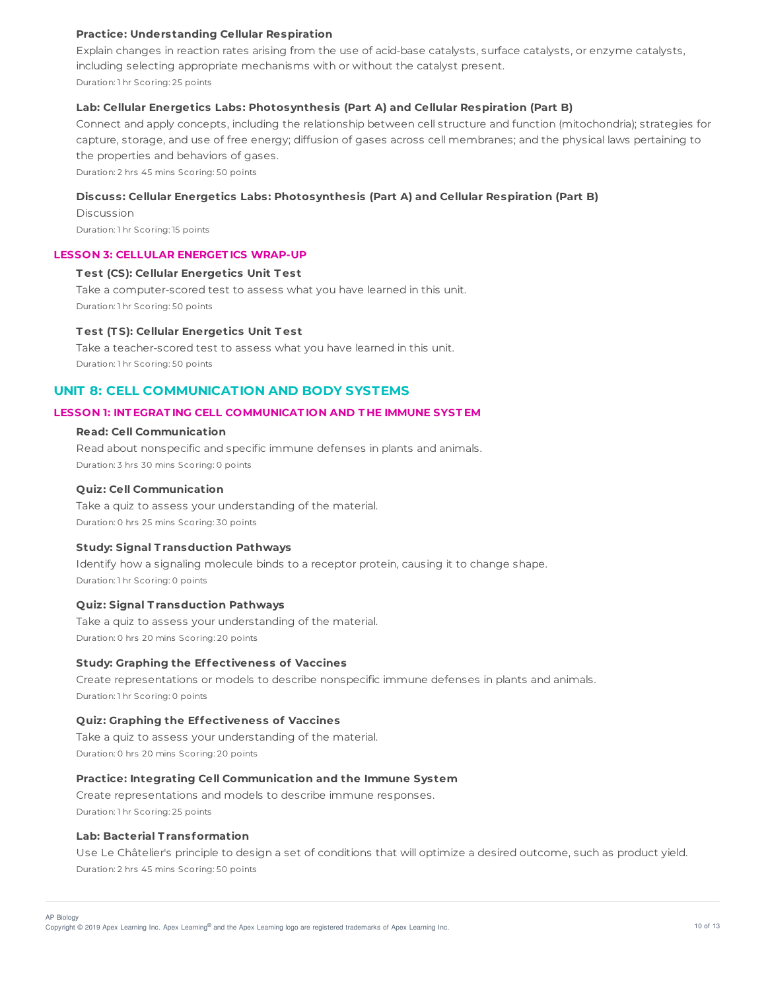### **Practice: Understanding Cellular Respiration**

Explain changes in reaction rates arising from the use of acid-base catalysts, surface catalysts, or enzyme catalysts, including selecting appropriate mechanisms with or without the catalyst present. Duration: 1 hr Scoring: 25 points

## **Lab: Cellular Energetics Labs: Photosynthesis (Part A) and Cellular Respiration (Part B)**

Connect and apply concepts, including the relationship between cell structure and function (mitochondria); strategies for capture, storage, and use of free energy; diffusion of gases across cell membranes; and the physical laws pertaining to the properties and behaviors of gases.

Duration: 2 hrs 45 mins Scoring: 50 points

#### **Discuss: Cellular Energetics Labs: Photosynthesis (Part A) and Cellular Respiration (Part B)**

Discussion Duration: 1 hr Scoring: 15 points

#### **LESSON 3: CELLULAR ENERGET ICS WRAP-UP**

#### **T est (CS): Cellular Energetics Unit T est**

Take a computer-scored test to assess what you have learned in this unit. Duration: 1 hr Scoring: 50 points

### **T est (T S): Cellular Energetics Unit T est**

Take a teacher-scored test to assess what you have learned in this unit. Duration: 1 hr Scoring: 50 points

## **UNIT 8: CELL COMMUNICATION AND BODY SYSTEMS**

### **LESSON 1: INT EGRAT ING CELL COMMUNICAT ION AND T HE IMMUNE SYST EM**

## **Read: Cell Communication**

Read about nonspecific and specific immune defenses in plants and animals. Duration: 3 hrs 30 mins Scoring: 0 points

## **Quiz: Cell Communication**

Take a quiz to assess your understanding of the material. Duration: 0 hrs 25 mins Scoring: 30 points

#### **Study: Signal T ransduction Pathways**

Identify how a signaling molecule binds to a receptor protein, causing it to change shape. Duration: 1 hr Scoring: 0 points

## **Quiz: Signal T ransduction Pathways**

Take a quiz to assess your understanding of the material. Duration: 0 hrs 20 mins Scoring: 20 points

#### **Study: Graphing the Effectiveness of Vaccines**

Create representations or models to describe nonspecific immune defenses in plants and animals. Duration: 1 hr Scoring: 0 points

### **Quiz: Graphing the Effectiveness of Vaccines**

Take a quiz to assess your understanding of the material. Duration: 0 hrs 20 mins Scoring: 20 points

#### **Practice: Integrating Cell Communication and the Immune System**

Create representations and models to describe immune responses. Duration: 1 hr Scoring: 25 points

#### **Lab: Bacterial T ransformation**

Use Le Châtelier's principle to design a set of conditions that will optimize a desired outcome, such as product yield. Duration: 2 hrs 45 mins Scoring: 50 points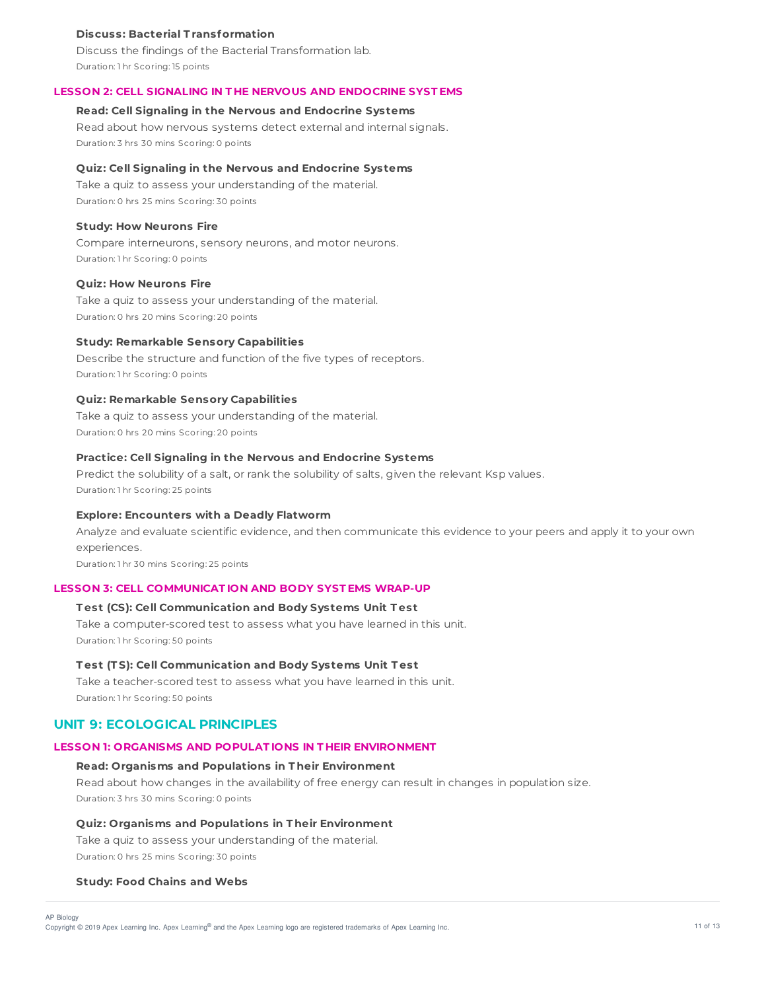## **Discuss: Bacterial T ransformation**

Discuss the findings of the Bacterial Transformation lab. Duration: 1 hr Scoring: 15 points

## **LESSON 2: CELL SIGNALING IN T HE NERVOUS AND ENDOCRINE SYST EMS**

## **Read: Cell Signaling in the Nervous and Endocrine Systems**

Read about how nervous systems detect external and internal signals. Duration: 3 hrs 30 mins Scoring: 0 points

#### **Quiz: Cell Signaling in the Nervous and Endocrine Systems**

Take a quiz to assess your understanding of the material. Duration: 0 hrs 25 mins Scoring: 30 points

### **Study: How Neurons Fire**

Compare interneurons, sensory neurons, and motor neurons. Duration: 1 hr Scoring: 0 points

#### **Quiz: How Neurons Fire**

Take a quiz to assess your understanding of the material. Duration: 0 hrs 20 mins Scoring: 20 points

#### **Study: Remarkable Sensory Capabilities**

Describe the structure and function of the five types of receptors. Duration: 1 hr Scoring: 0 points

## **Quiz: Remarkable Sensory Capabilities**

Take a quiz to assess your understanding of the material. Duration: 0 hrs 20 mins Scoring: 20 points

## **Practice: Cell Signaling in the Nervous and Endocrine Systems**

Predict the solubility of a salt, or rank the solubility of salts, given the relevant Ksp values. Duration: 1 hr Scoring: 25 points

### **Explore: Encounters with a Deadly Flatworm**

Analyze and evaluate scientific evidence, and then communicate this evidence to your peers and apply it to your own experiences.

Duration: 1 hr 30 mins Scoring: 25 points

#### **LESSON 3: CELL COMMUNICAT ION AND BODY SYST EMS WRAP-UP**

### **T est (CS): Cell Communication and Body Systems Unit T est**

Take a computer-scored test to assess what you have learned in this unit. Duration: 1 hr Scoring: 50 points

#### **T est (T S): Cell Communication and Body Systems Unit T est**

Take a teacher-scored test to assess what you have learned in this unit. Duration: 1 hr Scoring: 50 points

## **UNIT 9: ECOLOGICAL PRINCIPLES**

## **LESSON 1: ORGANISMS AND POPULAT IONS IN T HEIR ENVIRONMENT**

### **Read: Organisms and Populations in T heir Environment**

Read about how changes in the availability of free energy can result in changes in population size. Duration: 3 hrs 30 mins Scoring: 0 points

#### **Quiz: Organisms and Populations in T heir Environment**

Take a quiz to assess your understanding of the material.

Duration: 0 hrs 25 mins Scoring: 30 points

#### **Study: Food Chains and Webs**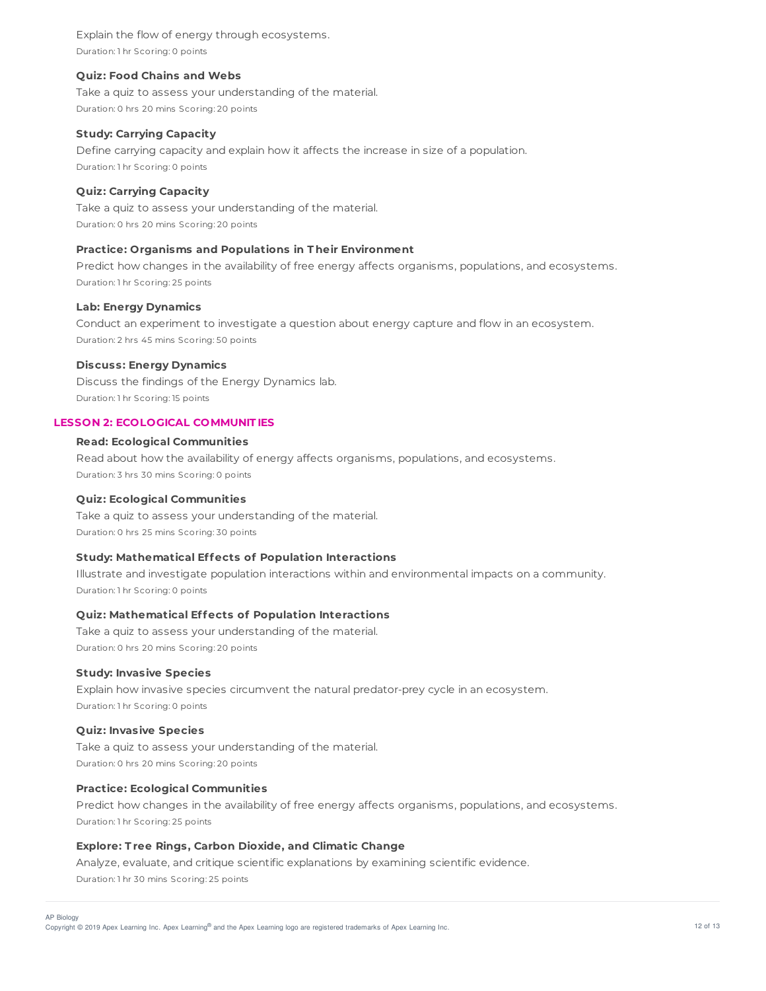Explain the flow of energy through ecosystems. Duration: 1 hr Scoring: 0 points

#### **Quiz: Food Chains and Webs**

Take a quiz to assess your understanding of the material. Duration: 0 hrs 20 mins Scoring: 20 points

#### **Study: Carrying Capacity**

Define carrying capacity and explain how it affects the increase in size of a population. Duration: 1 hr Scoring: 0 points

## **Quiz: Carrying Capacity**

Take a quiz to assess your understanding of the material. Duration: 0 hrs 20 mins Scoring: 20 points

## **Practice: Organisms and Populations in T heir Environment**

Predict how changes in the availability of free energy affects organisms, populations, and ecosystems. Duration: 1 hr Scoring: 25 points

#### **Lab: Energy Dynamics**

Conduct an experiment to investigate a question about energy capture and flow in an ecosystem. Duration: 2 hrs 45 mins Scoring: 50 points

### **Discuss: Energy Dynamics**

Discuss the findings of the Energy Dynamics lab. Duration: 1 hr Scoring: 15 points

### **LESSON 2: ECOLOGICAL COMMUNIT IES**

## **Read: Ecological Communities**

Read about how the availability of energy affects organisms, populations, and ecosystems. Duration: 3 hrs 30 mins Scoring: 0 points

## **Quiz: Ecological Communities**

Take a quiz to assess your understanding of the material. Duration: 0 hrs 25 mins Scoring: 30 points

#### **Study: Mathematical Effects of Population Interactions**

Illustrate and investigate population interactions within and environmental impacts on a community. Duration: 1 hr Scoring: 0 points

## **Quiz: Mathematical Effects of Population Interactions**

Take a quiz to assess your understanding of the material. Duration: 0 hrs 20 mins Scoring: 20 points

### **Study: Invasive Species**

Explain how invasive species circumvent the natural predator-prey cycle in an ecosystem. Duration: 1 hr Scoring: 0 points

### **Quiz: Invasive Species**

Take a quiz to assess your understanding of the material. Duration: 0 hrs 20 mins Scoring: 20 points

#### **Practice: Ecological Communities**

Predict how changes in the availability of free energy affects organisms, populations, and ecosystems. Duration: 1 hr Scoring: 25 points

## **Explore: T ree Rings, Carbon Dioxide, and Climatic Change**

Analyze, evaluate, and critique scientific explanations by examining scientific evidence. Duration: 1 hr 30 mins Scoring: 25 points